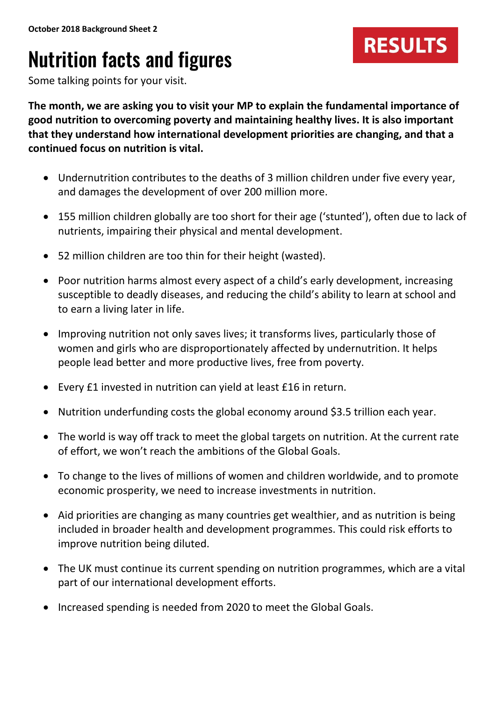## Nutrition facts and figures



Some talking points for your visit.

**The month, we are asking you to visit your MP to explain the fundamental importance of good nutrition to overcoming poverty and maintaining healthy lives. It is also important that they understand how international development priorities are changing, and that a continued focus on nutrition is vital.**

- Undernutrition contributes to the deaths of 3 million children under five every year, and damages the development of over 200 million more.
- 155 million children globally are too short for their age ('stunted'), often due to lack of nutrients, impairing their physical and mental development.
- 52 million children are too thin for their height (wasted).
- Poor nutrition harms almost every aspect of a child's early development, increasing susceptible to deadly diseases, and reducing the child's ability to learn at school and to earn a living later in life.
- Improving nutrition not only saves lives; it transforms lives, particularly those of women and girls who are disproportionately affected by undernutrition. It helps people lead better and more productive lives, free from poverty.
- Every £1 invested in nutrition can yield at least £16 in return.
- Nutrition underfunding costs the global economy around \$3.5 trillion each year.
- The world is way off track to meet the global targets on nutrition. At the current rate of effort, we won't reach the ambitions of the Global Goals.
- To change to the lives of millions of women and children worldwide, and to promote economic prosperity, we need to increase investments in nutrition.
- Aid priorities are changing as many countries get wealthier, and as nutrition is being included in broader health and development programmes. This could risk efforts to improve nutrition being diluted.
- The UK must continue its current spending on nutrition programmes, which are a vital part of our international development efforts.
- Increased spending is needed from 2020 to meet the Global Goals.